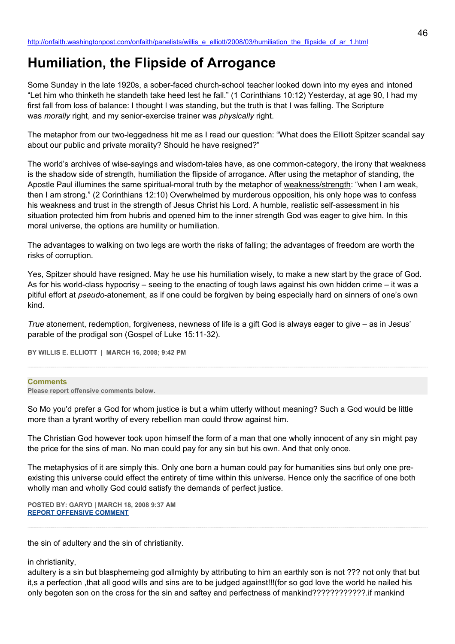## **Humiliation, the Flipside of Arrogance**

Some Sunday in the late 1920s, a sober-faced church-school teacher looked down into my eyes and intoned "Let him who thinketh he standeth take heed lest he fall." (1 Corinthians 10:12) Yesterday, at age 90, I had my first fall from loss of balance: I thought I was standing, but the truth is that I was falling. The Scripture was *morally* right, and my senior-exercise trainer was *physically* right.

The metaphor from our two-leggedness hit me as I read our question: "What does the Elliott Spitzer scandal say about our public and private morality? Should he have resigned?"

The world's archives of wise-sayings and wisdom-tales have, as one common-category, the irony that weakness is the shadow side of strength, humiliation the flipside of arrogance. After using the metaphor of standing, the Apostle Paul illumines the same spiritual-moral truth by the metaphor of weakness/strength: "when I am weak, then I am strong." (2 Corinthians 12:10) Overwhelmed by murderous opposition, his only hope was to confess his weakness and trust in the strength of Jesus Christ his Lord. A humble, realistic self-assessment in his situation protected him from hubris and opened him to the inner strength God was eager to give him. In this moral universe, the options are humility or humiliation.

The advantages to walking on two legs are worth the risks of falling; the advantages of freedom are worth the risks of corruption.

Yes, Spitzer should have resigned. May he use his humiliation wisely, to make a new start by the grace of God. As for his world-class hypocrisy – seeing to the enacting of tough laws against his own hidden crime – it was a pitiful effort at *pseudo*-atonement, as if one could be forgiven by being especially hard on sinners of one's own kind.

*True* atonement, redemption, forgiveness, newness of life is a gift God is always eager to give – as in Jesus' parable of the prodigal son (Gospel of Luke 15:11-32).

**BY WILLIS E. ELLIOTT | MARCH 16, 2008; 9:42 PM** 

## **Comments**

**Please report offensive comments below.**

So Mo you'd prefer a God for whom justice is but a whim utterly without meaning? Such a God would be little more than a tyrant worthy of every rebellion man could throw against him.

The Christian God however took upon himself the form of a man that one wholly innocent of any sin might pay the price for the sins of man. No man could pay for any sin but his own. And that only once.

The metaphysics of it are simply this. Only one born a human could pay for humanities sins but only one preexisting this universe could effect the entirety of time within this universe. Hence only the sacrifice of one both wholly man and wholly God could satisfy the demands of perfect justice.

**POSTED BY: GARYD | MARCH 18, 2008 9:37 AM [REPORT OFFENSIVE COMMENT](mailto:blogs@washingtonpost.com?subject=On%20Faith%20Panelists%20Blog%20%20%7C%20%20garyd%20%20%7C%20%20Humiliation,%20the%20Flipside%20of%20Arrogance%20%20%7C%20%202813117&body=%0D%0D%0D%0D%0D================%0D?__mode=view%26_type=comment%26id=2813117%26blog_id=618)**

the sin of adultery and the sin of christianity.

## in christianity,

adultery is a sin but blasphemeing god allmighty by attributing to him an earthly son is not ??? not only that but it,s a perfection ,that all good wills and sins are to be judged against!!!(for so god love the world he nailed his only begoten son on the cross for the sin and saftey and perfectness of mankind????????????.if mankind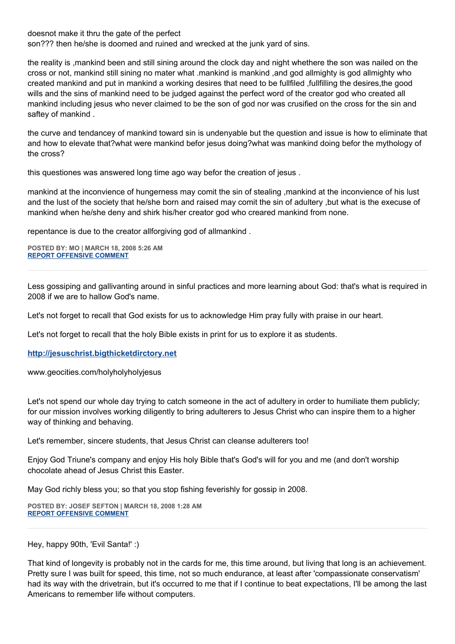doesnot make it thru the gate of the perfect

son??? then he/she is doomed and ruined and wrecked at the junk yard of sins.

the reality is ,mankind been and still sining around the clock day and night whethere the son was nailed on the cross or not, mankind still sining no mater what .mankind is mankind ,and god allmighty is god allmighty who created mankind and put in mankind a working desires that need to be fullfiled ,fullfilling the desires,the good wills and the sins of mankind need to be judged against the perfect word of the creator god who created all mankind including jesus who never claimed to be the son of god nor was crusified on the cross for the sin and saftey of mankind .

the curve and tendancey of mankind toward sin is undenyable but the question and issue is how to eliminate that and how to elevate that?what were mankind befor jesus doing?what was mankind doing befor the mythology of the cross?

this questiones was answered long time ago way befor the creation of jesus .

mankind at the inconvience of hungerness may comit the sin of stealing ,mankind at the inconvience of his lust and the lust of the society that he/she born and raised may comit the sin of adultery ,but what is the execuse of mankind when he/she deny and shirk his/her creator god who creared mankind from none.

repentance is due to the creator allforgiving god of allmankind .

**POSTED BY: MO | MARCH 18, 2008 5:26 AM [REPORT OFFENSIVE COMMENT](mailto:blogs@washingtonpost.com?subject=On%20Faith%20Panelists%20Blog%20%20%7C%20%20mo%20%20%7C%20%20Humiliation,%20the%20Flipside%20of%20Arrogance%20%20%7C%20%202810838&body=%0D%0D%0D%0D%0D================%0D?__mode=view%26_type=comment%26id=2810838%26blog_id=618)**

Less gossiping and gallivanting around in sinful practices and more learning about God: that's what is required in 2008 if we are to hallow God's name.

Let's not forget to recall that God exists for us to acknowledge Him pray fully with praise in our heart.

Let's not forget to recall that the holy Bible exists in print for us to explore it as students.

**[http://jesuschrist.bigthicketdirctory.net](http://jesuschrist.bigthicketdirctory.net/)**

www.geocities.com/holyholyholyjesus

Let's not spend our whole day trying to catch someone in the act of adultery in order to humiliate them publicly; for our mission involves working diligently to bring adulterers to Jesus Christ who can inspire them to a higher way of thinking and behaving.

Let's remember, sincere students, that Jesus Christ can cleanse adulterers too!

Enjoy God Triune's company and enjoy His holy Bible that's God's will for you and me (and don't worship chocolate ahead of Jesus Christ this Easter.

May God richly bless you; so that you stop fishing feverishly for gossip in 2008.

**POSTED BY: JOSEF SEFTON | MARCH 18, 2008 1:28 AM [REPORT OFFENSIVE COMMENT](mailto:blogs@washingtonpost.com?subject=On%20Faith%20Panelists%20Blog%20%20%7C%20%20Josef%20Sefton%20%20%7C%20%20Humiliation,%20the%20Flipside%20of%20Arrogance%20%20%7C%20%202808813&body=%0D%0D%0D%0D%0D================%0D?__mode=view%26_type=comment%26id=2808813%26blog_id=618)**

Hey, happy 90th, 'Evil Santa!' :)

That kind of longevity is probably not in the cards for me, this time around, but living that long is an achievement. Pretty sure I was built for speed, this time, not so much endurance, at least after 'compassionate conservatism' had its way with the drivetrain, but it's occurred to me that if I continue to beat expectations, I'll be among the last Americans to remember life without computers.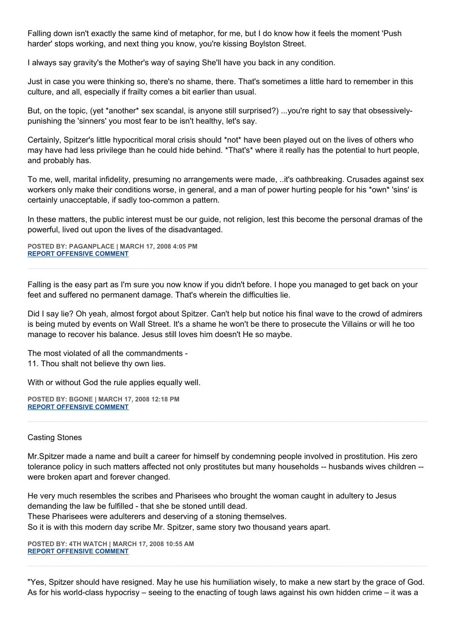Falling down isn't exactly the same kind of metaphor, for me, but I do know how it feels the moment 'Push harder' stops working, and next thing you know, you're kissing Boylston Street.

I always say gravity's the Mother's way of saying She'll have you back in any condition.

Just in case you were thinking so, there's no shame, there. That's sometimes a little hard to remember in this culture, and all, especially if frailty comes a bit earlier than usual.

But, on the topic, (yet \*another\* sex scandal, is anyone still surprised?) ...you're right to say that obsessivelypunishing the 'sinners' you most fear to be isn't healthy, let's say.

Certainly, Spitzer's little hypocritical moral crisis should \*not\* have been played out on the lives of others who may have had less privilege than he could hide behind. \*That's\* where it really has the potential to hurt people, and probably has.

To me, well, marital infidelity, presuming no arrangements were made, ..it's oathbreaking. Crusades against sex workers only make their conditions worse, in general, and a man of power hurting people for his \*own\* 'sins' is certainly unacceptable, if sadly too-common a pattern.

In these matters, the public interest must be our guide, not religion, lest this become the personal dramas of the powerful, lived out upon the lives of the disadvantaged.

**POSTED BY: PAGANPLACE | MARCH 17, 2008 4:05 PM [REPORT OFFENSIVE COMMENT](mailto:blogs@washingtonpost.com?subject=On%20Faith%20Panelists%20Blog%20%20%7C%20%20Paganplace%20%20%7C%20%20Humiliation,%20the%20Flipside%20of%20Arrogance%20%20%7C%20%202803519&body=%0D%0D%0D%0D%0D================%0D?__mode=view%26_type=comment%26id=2803519%26blog_id=618)**

Falling is the easy part as I'm sure you now know if you didn't before. I hope you managed to get back on your feet and suffered no permanent damage. That's wherein the difficulties lie.

Did I say lie? Oh yeah, almost forgot about Spitzer. Can't help but notice his final wave to the crowd of admirers is being muted by events on Wall Street. It's a shame he won't be there to prosecute the Villains or will he too manage to recover his balance. Jesus still loves him doesn't He so maybe.

The most violated of all the commandments - 11. Thou shalt not believe thy own lies.

With or without God the rule applies equally well.

**POSTED BY: BGONE | MARCH 17, 2008 12:18 PM [REPORT OFFENSIVE COMMENT](mailto:blogs@washingtonpost.com?subject=On%20Faith%20Panelists%20Blog%20%20%7C%20%20BGone%20%20%7C%20%20Humiliation,%20the%20Flipside%20of%20Arrogance%20%20%7C%20%202801314&body=%0D%0D%0D%0D%0D================%0D?__mode=view%26_type=comment%26id=2801314%26blog_id=618)**

## Casting Stones

Mr.Spitzer made a name and built a career for himself by condemning people involved in prostitution. His zero tolerance policy in such matters affected not only prostitutes but many households -- husbands wives children - were broken apart and forever changed.

He very much resembles the scribes and Pharisees who brought the woman caught in adultery to Jesus demanding the law be fulfilled - that she be stoned untill dead. These Pharisees were adulterers and deserving of a stoning themselves. So it is with this modern day scribe Mr. Spitzer, same story two thousand years apart.

**POSTED BY: 4TH WATCH | MARCH 17, 2008 10:55 AM [REPORT OFFENSIVE COMMENT](mailto:blogs@washingtonpost.com?subject=On%20Faith%20Panelists%20Blog%20%20%7C%20%204th%20watch%20%20%7C%20%20Humiliation,%20the%20Flipside%20of%20Arrogance%20%20%7C%20%202800539&body=%0D%0D%0D%0D%0D================%0D?__mode=view%26_type=comment%26id=2800539%26blog_id=618)**

"Yes, Spitzer should have resigned. May he use his humiliation wisely, to make a new start by the grace of God. As for his world-class hypocrisy – seeing to the enacting of tough laws against his own hidden crime – it was a